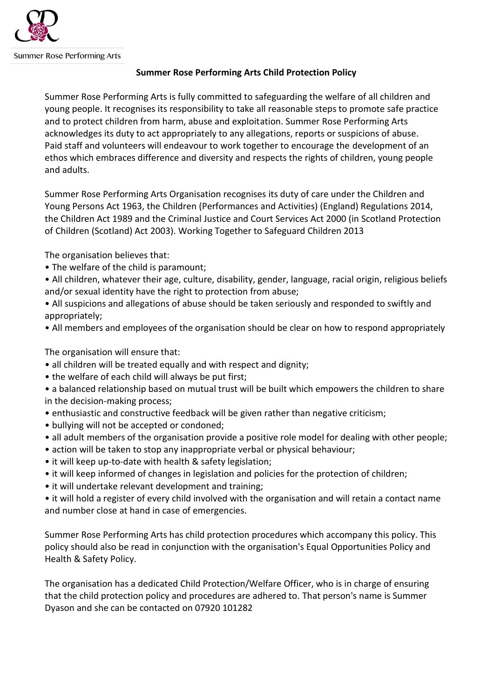

Summer Rose Performing Arts

## **Summer Rose Performing Arts Child Protection Policy**

Summer Rose Performing Arts is fully committed to safeguarding the welfare of all children and young people. It recognises its responsibility to take all reasonable steps to promote safe practice and to protect children from harm, abuse and exploitation. Summer Rose Performing Arts acknowledges its duty to act appropriately to any allegations, reports or suspicions of abuse. Paid staff and volunteers will endeavour to work together to encourage the development of an ethos which embraces difference and diversity and respects the rights of children, young people and adults.

Summer Rose Performing Arts Organisation recognises its duty of care under the Children and Young Persons Act 1963, the Children (Performances and Activities) (England) Regulations 2014, the Children Act 1989 and the Criminal Justice and Court Services Act 2000 (in Scotland Protection of Children (Scotland) Act 2003). Working Together to Safeguard Children 2013

The organisation believes that:

- The welfare of the child is paramount;
- All children, whatever their age, culture, disability, gender, language, racial origin, religious beliefs and/or sexual identity have the right to protection from abuse;
- All suspicions and allegations of abuse should be taken seriously and responded to swiftly and appropriately;
- All members and employees of the organisation should be clear on how to respond appropriately

The organisation will ensure that:

- all children will be treated equally and with respect and dignity;
- the welfare of each child will always be put first;
- a balanced relationship based on mutual trust will be built which empowers the children to share in the decision-making process;
- enthusiastic and constructive feedback will be given rather than negative criticism;
- bullying will not be accepted or condoned;
- all adult members of the organisation provide a positive role model for dealing with other people;
- action will be taken to stop any inappropriate verbal or physical behaviour;
- it will keep up-to-date with health & safety legislation;
- it will keep informed of changes in legislation and policies for the protection of children;
- it will undertake relevant development and training;

• it will hold a register of every child involved with the organisation and will retain a contact name and number close at hand in case of emergencies.

Summer Rose Performing Arts has child protection procedures which accompany this policy. This policy should also be read in conjunction with the organisation's Equal Opportunities Policy and Health & Safety Policy.

The organisation has a dedicated Child Protection/Welfare Officer, who is in charge of ensuring that the child protection policy and procedures are adhered to. That person's name is Summer Dyason and she can be contacted on 07920 101282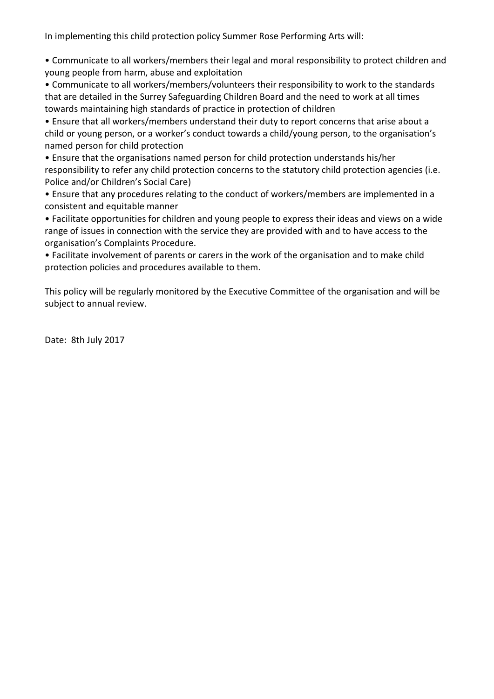In implementing this child protection policy Summer Rose Performing Arts will:

• Communicate to all workers/members their legal and moral responsibility to protect children and young people from harm, abuse and exploitation

• Communicate to all workers/members/volunteers their responsibility to work to the standards that are detailed in the Surrey Safeguarding Children Board and the need to work at all times towards maintaining high standards of practice in protection of children

• Ensure that all workers/members understand their duty to report concerns that arise about a child or young person, or a worker's conduct towards a child/young person, to the organisation's named person for child protection

• Ensure that the organisations named person for child protection understands his/her responsibility to refer any child protection concerns to the statutory child protection agencies (i.e. Police and/or Children's Social Care)

• Ensure that any procedures relating to the conduct of workers/members are implemented in a consistent and equitable manner

• Facilitate opportunities for children and young people to express their ideas and views on a wide range of issues in connection with the service they are provided with and to have access to the organisation's Complaints Procedure.

• Facilitate involvement of parents or carers in the work of the organisation and to make child protection policies and procedures available to them.

This policy will be regularly monitored by the Executive Committee of the organisation and will be subject to annual review.

Date: 8th July 2017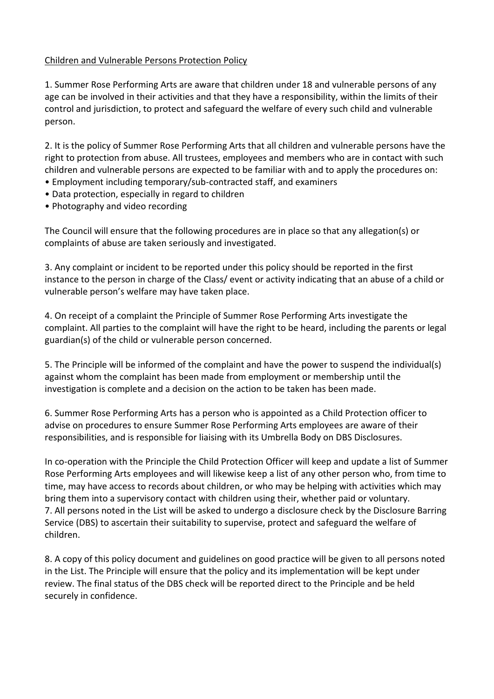## Children and Vulnerable Persons Protection Policy

1. Summer Rose Performing Arts are aware that children under 18 and vulnerable persons of any age can be involved in their activities and that they have a responsibility, within the limits of their control and jurisdiction, to protect and safeguard the welfare of every such child and vulnerable person.

2. It is the policy of Summer Rose Performing Arts that all children and vulnerable persons have the right to protection from abuse. All trustees, employees and members who are in contact with such children and vulnerable persons are expected to be familiar with and to apply the procedures on:

- Employment including temporary/sub-contracted staff, and examiners
- Data protection, especially in regard to children
- Photography and video recording

The Council will ensure that the following procedures are in place so that any allegation(s) or complaints of abuse are taken seriously and investigated.

3. Any complaint or incident to be reported under this policy should be reported in the first instance to the person in charge of the Class/ event or activity indicating that an abuse of a child or vulnerable person's welfare may have taken place.

4. On receipt of a complaint the Principle of Summer Rose Performing Arts investigate the complaint. All parties to the complaint will have the right to be heard, including the parents or legal guardian(s) of the child or vulnerable person concerned.

5. The Principle will be informed of the complaint and have the power to suspend the individual(s) against whom the complaint has been made from employment or membership until the investigation is complete and a decision on the action to be taken has been made.

6. Summer Rose Performing Arts has a person who is appointed as a Child Protection officer to advise on procedures to ensure Summer Rose Performing Arts employees are aware of their responsibilities, and is responsible for liaising with its Umbrella Body on DBS Disclosures.

In co-operation with the Principle the Child Protection Officer will keep and update a list of Summer Rose Performing Arts employees and will likewise keep a list of any other person who, from time to time, may have access to records about children, or who may be helping with activities which may bring them into a supervisory contact with children using their, whether paid or voluntary. 7. All persons noted in the List will be asked to undergo a disclosure check by the Disclosure Barring Service (DBS) to ascertain their suitability to supervise, protect and safeguard the welfare of children.

8. A copy of this policy document and guidelines on good practice will be given to all persons noted in the List. The Principle will ensure that the policy and its implementation will be kept under review. The final status of the DBS check will be reported direct to the Principle and be held securely in confidence.